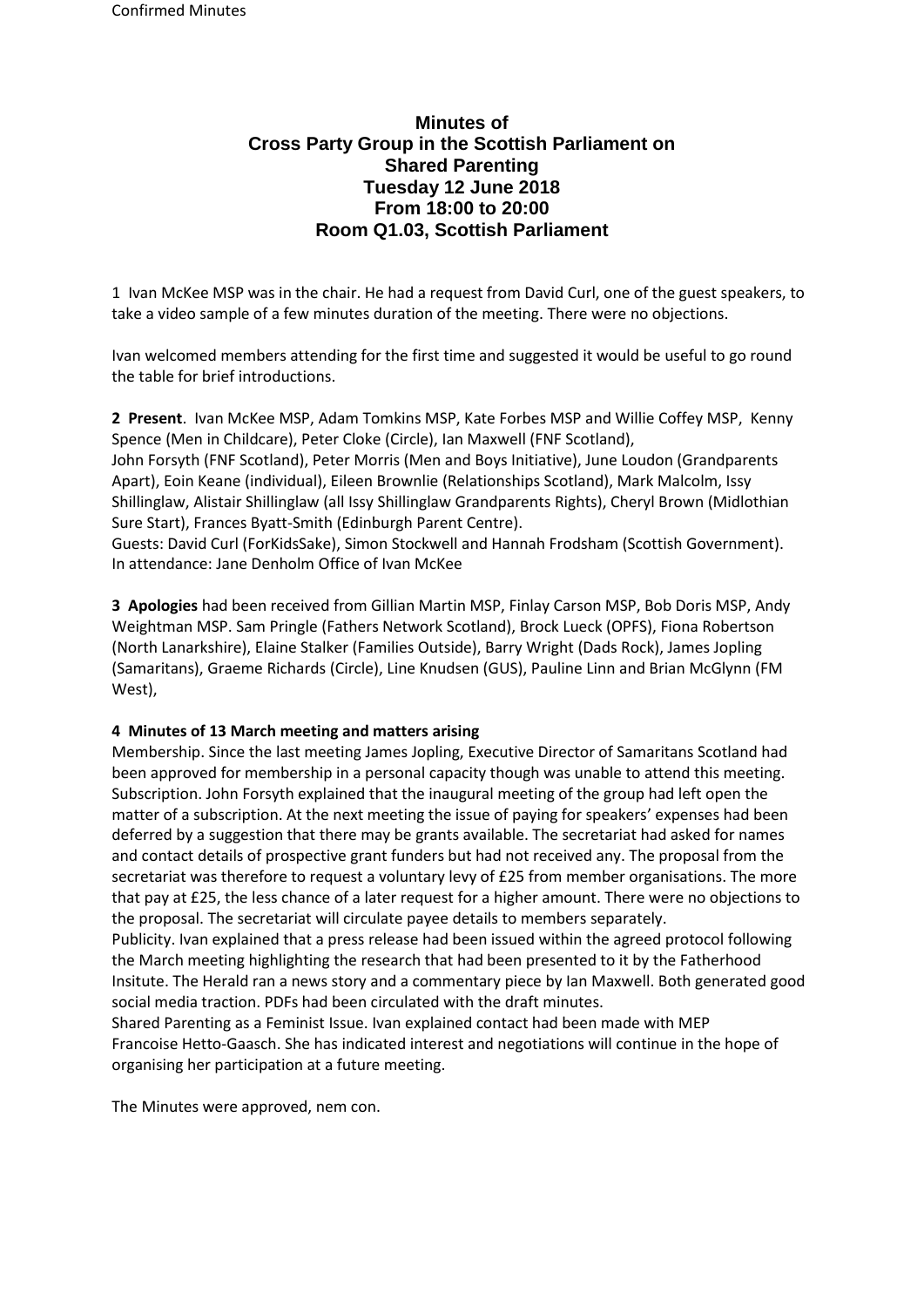# **Minutes of Cross Party Group in the Scottish Parliament on Shared Parenting Tuesday 12 June 2018 From 18:00 to 20:00 Room Q1.03, Scottish Parliament**

1 Ivan McKee MSP was in the chair. He had a request from David Curl, one of the guest speakers, to take a video sample of a few minutes duration of the meeting. There were no objections.

Ivan welcomed members attending for the first time and suggested it would be useful to go round the table for brief introductions.

**2 Present**. Ivan McKee MSP, Adam Tomkins MSP, Kate Forbes MSP and Willie Coffey MSP, Kenny Spence (Men in Childcare), Peter Cloke (Circle), Ian Maxwell (FNF Scotland),

John Forsyth (FNF Scotland), Peter Morris (Men and Boys Initiative), June Loudon (Grandparents Apart), Eoin Keane (individual), Eileen Brownlie (Relationships Scotland), Mark Malcolm, Issy Shillinglaw, Alistair Shillinglaw (all Issy Shillinglaw Grandparents Rights), Cheryl Brown (Midlothian Sure Start), Frances Byatt-Smith (Edinburgh Parent Centre).

Guests: David Curl (ForKidsSake), Simon Stockwell and Hannah Frodsham (Scottish Government). In attendance: Jane Denholm Office of Ivan McKee

**3 Apologies** had been received from Gillian Martin MSP, Finlay Carson MSP, Bob Doris MSP, Andy Weightman MSP. Sam Pringle (Fathers Network Scotland), Brock Lueck (OPFS), Fiona Robertson (North Lanarkshire), Elaine Stalker (Families Outside), Barry Wright (Dads Rock), James Jopling (Samaritans), Graeme Richards (Circle), Line Knudsen (GUS), Pauline Linn and Brian McGlynn (FM West),

## **4 Minutes of 13 March meeting and matters arising**

Membership. Since the last meeting James Jopling, Executive Director of Samaritans Scotland had been approved for membership in a personal capacity though was unable to attend this meeting. Subscription. John Forsyth explained that the inaugural meeting of the group had left open the matter of a subscription. At the next meeting the issue of paying for speakers' expenses had been deferred by a suggestion that there may be grants available. The secretariat had asked for names and contact details of prospective grant funders but had not received any. The proposal from the secretariat was therefore to request a voluntary levy of £25 from member organisations. The more that pay at £25, the less chance of a later request for a higher amount. There were no objections to the proposal. The secretariat will circulate payee details to members separately.

Publicity. Ivan explained that a press release had been issued within the agreed protocol following the March meeting highlighting the research that had been presented to it by the Fatherhood Insitute. The Herald ran a news story and a commentary piece by Ian Maxwell. Both generated good social media traction. PDFs had been circulated with the draft minutes.

Shared Parenting as a Feminist Issue. Ivan explained contact had been made with MEP Francoise Hetto-Gaasch. She has indicated interest and negotiations will continue in the hope of organising her participation at a future meeting.

The Minutes were approved, nem con.